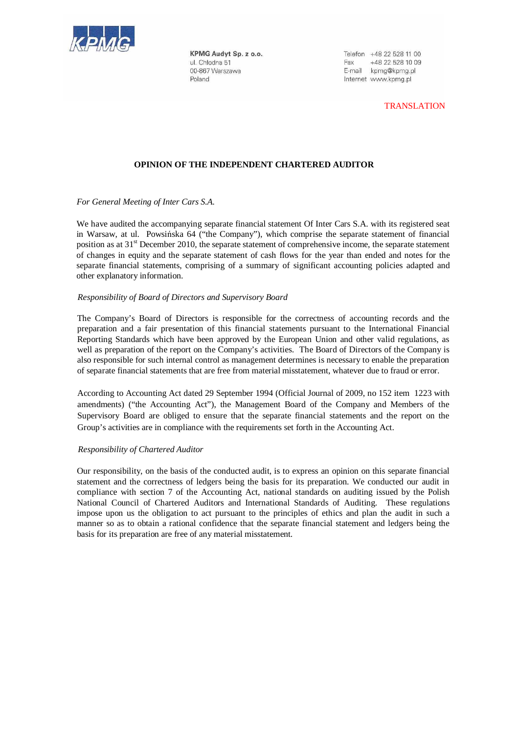

KPMG Audyt Sp. z o.o. ul. Chłodna 51 00-867 Warszawa Poland

Telefon +48 22 528 11 00 Fax +48 22 528 10 09 E-mail kpmg@kpmg.pl Internet www.kpmg.pl

## TRANSLATION

# **OPINION OF THE INDEPENDENT CHARTERED AUDITOR**

*For General Meeting of Inter Cars S.A.* 

We have audited the accompanying separate financial statement Of Inter Cars S.A. with its registered seat in Warsaw, at ul. Powsińska 64 ("the Company"), which comprise the separate statement of financial position as at  $31<sup>st</sup>$  December 2010, the separate statement of comprehensive income, the separate statement of changes in equity and the separate statement of cash flows for the year than ended and notes for the separate financial statements, comprising of a summary of significant accounting policies adapted and other explanatory information.

## *Responsibility of Board of Directors and Supervisory Board*

The Company's Board of Directors is responsible for the correctness of accounting records and the preparation and a fair presentation of this financial statements pursuant to the International Financial Reporting Standards which have been approved by the European Union and other valid regulations, as well as preparation of the report on the Company's activities. The Board of Directors of the Company is also responsible for such internal control as management determines is necessary to enable the preparation of separate financial statements that are free from material misstatement, whatever due to fraud or error.

According to Accounting Act dated 29 September 1994 (Official Journal of 2009, no 152 item 1223 with amendments) ("the Accounting Act"), the Management Board of the Company and Members of the Supervisory Board are obliged to ensure that the separate financial statements and the report on the Group's activities are in compliance with the requirements set forth in the Accounting Act.

## *Responsibility of Chartered Auditor*

Our responsibility, on the basis of the conducted audit, is to express an opinion on this separate financial statement and the correctness of ledgers being the basis for its preparation. We conducted our audit in compliance with section 7 of the Accounting Act, national standards on auditing issued by the Polish National Council of Chartered Auditors and International Standards of Auditing. These regulations impose upon us the obligation to act pursuant to the principles of ethics and plan the audit in such a manner so as to obtain a rational confidence that the separate financial statement and ledgers being the basis for its preparation are free of any material misstatement.